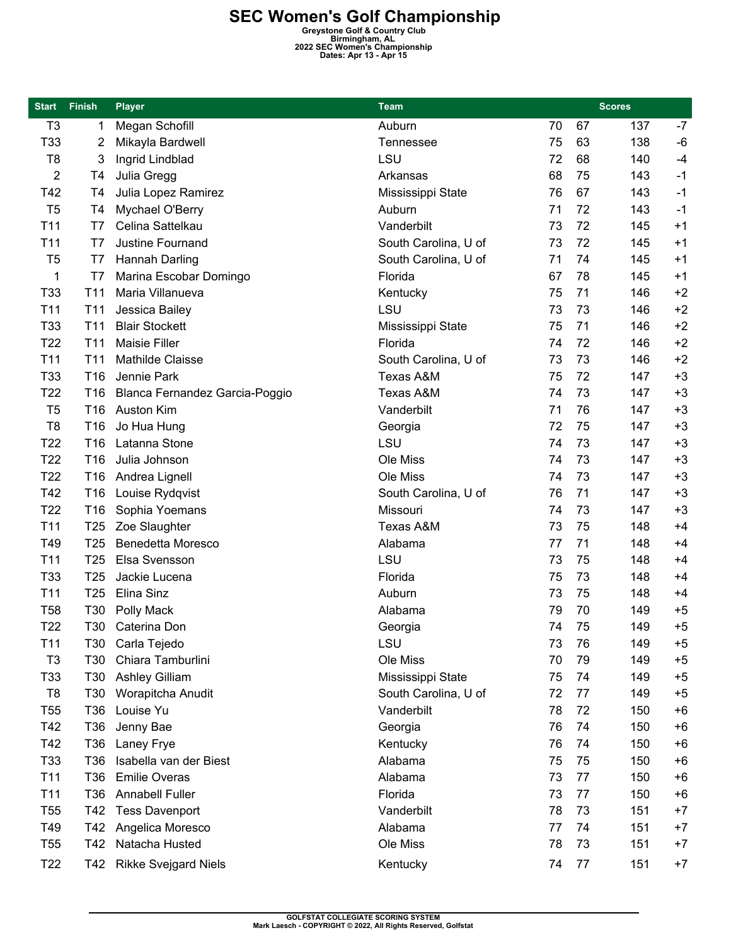**SEC Women's Golf Championship**<br> **Greystone Golf & Country Club**<br> **Birmingham, AL**<br> **Dates: Apr 13 - Apr 15**<br> **Dates: Apr 13 - Apr 15** 

| T <sub>3</sub><br>Megan Schofill<br>Auburn<br>70<br>67<br>137<br>$-7$<br>1<br>T33<br>75<br>63<br>138<br>$-6$<br>Mikayla Bardwell<br>Tennessee<br>2<br>LSU<br>T <sub>8</sub><br>$-4$<br>3<br>Ingrid Lindblad<br>72<br>68<br>140<br>2<br>$-1$<br>Julia Gregg<br>Arkansas<br>68<br>75<br>143<br>T4<br>T42<br>67<br>$-1$<br>T4<br>Julia Lopez Ramirez<br>Mississippi State<br>76<br>143<br>T <sub>5</sub><br>72<br>$-1$<br>T4<br>Mychael O'Berry<br>Auburn<br>143<br>71<br>T11<br>Celina Sattelkau<br>Vanderbilt<br>72<br>$+1$<br>T7<br>73<br>145<br>72<br>T11<br>Justine Fournand<br>South Carolina, U of<br>73<br>$+1$<br>T7<br>145<br>74<br>T <sub>5</sub><br>Hannah Darling<br>South Carolina, U of<br>71<br>145<br>$+1$<br>T7<br>Florida<br>1<br>Marina Escobar Domingo<br>67<br>78<br>145<br>$+1$<br>T7<br>T33<br>T11<br>71<br>$+2$<br>Maria Villanueva<br>Kentucky<br>75<br>146<br>LSU<br>73<br>$+2$<br>T <sub>11</sub><br>Jessica Bailey<br>73<br>T11<br>146<br><b>Blair Stockett</b><br>$+2$<br>T33<br>71<br>T <sub>11</sub><br>75<br>146<br>Mississippi State<br>T22<br>$+2$<br>T11<br><b>Maisie Filler</b><br>Florida<br>72<br>74<br>146<br>T <sub>11</sub><br><b>Mathilde Claisse</b><br>73<br>$+2$<br>T <sub>11</sub><br>South Carolina, U of<br>73<br>146<br>T33<br>Texas A&M<br>72<br>$+3$<br>T <sub>16</sub><br>Jennie Park<br>75<br>147<br>$+3$<br>T <sub>22</sub><br>73<br>T <sub>16</sub><br>Blanca Fernandez Garcia-Poggio<br>Texas A&M<br>74<br>147<br>Vanderbilt<br>76<br>$+3$<br>T <sub>5</sub><br>T <sub>16</sub><br>Auston Kim<br>71<br>147<br>$+3$<br>T <sub>8</sub><br>72<br>75<br>Jo Hua Hung<br>147<br>T16<br>Georgia<br>LSU<br>$+3$<br>T <sub>22</sub><br>T16<br>Latanna Stone<br>74<br>73<br>147<br>T <sub>22</sub><br>Ole Miss<br>73<br>$+3$<br>T <sub>16</sub><br>Julia Johnson<br>74<br>147<br>T <sub>22</sub><br>$+3$<br>Andrea Lignell<br>Ole Miss<br>73<br>147<br>T16<br>74<br>T42<br>South Carolina, U of<br>71<br>$+3$<br>T <sub>16</sub><br>Louise Rydqvist<br>76<br>147<br>T <sub>22</sub><br>$+3$<br>Sophia Yoemans<br>Missouri<br>73<br>147<br>T16<br>74<br>T11<br>Zoe Slaughter<br>$+4$<br>T <sub>25</sub><br>Texas A&M<br>73<br>75<br>148<br>T49<br><b>Benedetta Moresco</b><br>Alabama<br>71<br>$+4$<br>T <sub>25</sub><br>77<br>148<br>LSU<br>Elsa Svensson<br>T <sub>11</sub><br>T <sub>25</sub><br>73<br>75<br>148<br>$+4$<br>T33<br>73<br>T <sub>25</sub><br>Jackie Lucena<br>Florida<br>75<br>148<br>$+4$<br>T11<br>T <sub>25</sub><br>Elina Sinz<br>Auburn<br>73<br>75<br>148<br>$+4$<br>Alabama<br>79<br>70<br>$+5$<br><b>T58</b><br>T30<br>Polly Mack<br>149<br>T <sub>22</sub><br>$+5$<br>T30<br>Caterina Don<br>75<br>149<br>74<br>Georgia<br>LSU<br>T11<br>73<br>76<br>149<br>T30<br>Carla Tejedo<br>$+5$<br>Chiara Tamburlini<br>79<br>T <sub>3</sub><br>T30<br>Ole Miss<br>70<br>$+5$<br>149<br>T33<br>T30<br><b>Ashley Gilliam</b><br>Mississippi State<br>75<br>74<br>$+5$<br>149<br>T <sub>8</sub><br>South Carolina, U of<br>77<br>T30<br>Worapitcha Anudit<br>72<br>149<br>$+5$ |
|---------------------------------------------------------------------------------------------------------------------------------------------------------------------------------------------------------------------------------------------------------------------------------------------------------------------------------------------------------------------------------------------------------------------------------------------------------------------------------------------------------------------------------------------------------------------------------------------------------------------------------------------------------------------------------------------------------------------------------------------------------------------------------------------------------------------------------------------------------------------------------------------------------------------------------------------------------------------------------------------------------------------------------------------------------------------------------------------------------------------------------------------------------------------------------------------------------------------------------------------------------------------------------------------------------------------------------------------------------------------------------------------------------------------------------------------------------------------------------------------------------------------------------------------------------------------------------------------------------------------------------------------------------------------------------------------------------------------------------------------------------------------------------------------------------------------------------------------------------------------------------------------------------------------------------------------------------------------------------------------------------------------------------------------------------------------------------------------------------------------------------------------------------------------------------------------------------------------------------------------------------------------------------------------------------------------------------------------------------------------------------------------------------------------------------------------------------------------------------------------------------------------------------------------------------------------------------------------------------------------------------------------------------------------------------------------------------------------------------------------------------------------------------------------------------------------------------------------------------------------------------------------------------------------------------------------------------------------------------------------------------------------------------------------|
|                                                                                                                                                                                                                                                                                                                                                                                                                                                                                                                                                                                                                                                                                                                                                                                                                                                                                                                                                                                                                                                                                                                                                                                                                                                                                                                                                                                                                                                                                                                                                                                                                                                                                                                                                                                                                                                                                                                                                                                                                                                                                                                                                                                                                                                                                                                                                                                                                                                                                                                                                                                                                                                                                                                                                                                                                                                                                                                                                                                                                                             |
|                                                                                                                                                                                                                                                                                                                                                                                                                                                                                                                                                                                                                                                                                                                                                                                                                                                                                                                                                                                                                                                                                                                                                                                                                                                                                                                                                                                                                                                                                                                                                                                                                                                                                                                                                                                                                                                                                                                                                                                                                                                                                                                                                                                                                                                                                                                                                                                                                                                                                                                                                                                                                                                                                                                                                                                                                                                                                                                                                                                                                                             |
|                                                                                                                                                                                                                                                                                                                                                                                                                                                                                                                                                                                                                                                                                                                                                                                                                                                                                                                                                                                                                                                                                                                                                                                                                                                                                                                                                                                                                                                                                                                                                                                                                                                                                                                                                                                                                                                                                                                                                                                                                                                                                                                                                                                                                                                                                                                                                                                                                                                                                                                                                                                                                                                                                                                                                                                                                                                                                                                                                                                                                                             |
|                                                                                                                                                                                                                                                                                                                                                                                                                                                                                                                                                                                                                                                                                                                                                                                                                                                                                                                                                                                                                                                                                                                                                                                                                                                                                                                                                                                                                                                                                                                                                                                                                                                                                                                                                                                                                                                                                                                                                                                                                                                                                                                                                                                                                                                                                                                                                                                                                                                                                                                                                                                                                                                                                                                                                                                                                                                                                                                                                                                                                                             |
|                                                                                                                                                                                                                                                                                                                                                                                                                                                                                                                                                                                                                                                                                                                                                                                                                                                                                                                                                                                                                                                                                                                                                                                                                                                                                                                                                                                                                                                                                                                                                                                                                                                                                                                                                                                                                                                                                                                                                                                                                                                                                                                                                                                                                                                                                                                                                                                                                                                                                                                                                                                                                                                                                                                                                                                                                                                                                                                                                                                                                                             |
|                                                                                                                                                                                                                                                                                                                                                                                                                                                                                                                                                                                                                                                                                                                                                                                                                                                                                                                                                                                                                                                                                                                                                                                                                                                                                                                                                                                                                                                                                                                                                                                                                                                                                                                                                                                                                                                                                                                                                                                                                                                                                                                                                                                                                                                                                                                                                                                                                                                                                                                                                                                                                                                                                                                                                                                                                                                                                                                                                                                                                                             |
|                                                                                                                                                                                                                                                                                                                                                                                                                                                                                                                                                                                                                                                                                                                                                                                                                                                                                                                                                                                                                                                                                                                                                                                                                                                                                                                                                                                                                                                                                                                                                                                                                                                                                                                                                                                                                                                                                                                                                                                                                                                                                                                                                                                                                                                                                                                                                                                                                                                                                                                                                                                                                                                                                                                                                                                                                                                                                                                                                                                                                                             |
|                                                                                                                                                                                                                                                                                                                                                                                                                                                                                                                                                                                                                                                                                                                                                                                                                                                                                                                                                                                                                                                                                                                                                                                                                                                                                                                                                                                                                                                                                                                                                                                                                                                                                                                                                                                                                                                                                                                                                                                                                                                                                                                                                                                                                                                                                                                                                                                                                                                                                                                                                                                                                                                                                                                                                                                                                                                                                                                                                                                                                                             |
|                                                                                                                                                                                                                                                                                                                                                                                                                                                                                                                                                                                                                                                                                                                                                                                                                                                                                                                                                                                                                                                                                                                                                                                                                                                                                                                                                                                                                                                                                                                                                                                                                                                                                                                                                                                                                                                                                                                                                                                                                                                                                                                                                                                                                                                                                                                                                                                                                                                                                                                                                                                                                                                                                                                                                                                                                                                                                                                                                                                                                                             |
|                                                                                                                                                                                                                                                                                                                                                                                                                                                                                                                                                                                                                                                                                                                                                                                                                                                                                                                                                                                                                                                                                                                                                                                                                                                                                                                                                                                                                                                                                                                                                                                                                                                                                                                                                                                                                                                                                                                                                                                                                                                                                                                                                                                                                                                                                                                                                                                                                                                                                                                                                                                                                                                                                                                                                                                                                                                                                                                                                                                                                                             |
|                                                                                                                                                                                                                                                                                                                                                                                                                                                                                                                                                                                                                                                                                                                                                                                                                                                                                                                                                                                                                                                                                                                                                                                                                                                                                                                                                                                                                                                                                                                                                                                                                                                                                                                                                                                                                                                                                                                                                                                                                                                                                                                                                                                                                                                                                                                                                                                                                                                                                                                                                                                                                                                                                                                                                                                                                                                                                                                                                                                                                                             |
|                                                                                                                                                                                                                                                                                                                                                                                                                                                                                                                                                                                                                                                                                                                                                                                                                                                                                                                                                                                                                                                                                                                                                                                                                                                                                                                                                                                                                                                                                                                                                                                                                                                                                                                                                                                                                                                                                                                                                                                                                                                                                                                                                                                                                                                                                                                                                                                                                                                                                                                                                                                                                                                                                                                                                                                                                                                                                                                                                                                                                                             |
|                                                                                                                                                                                                                                                                                                                                                                                                                                                                                                                                                                                                                                                                                                                                                                                                                                                                                                                                                                                                                                                                                                                                                                                                                                                                                                                                                                                                                                                                                                                                                                                                                                                                                                                                                                                                                                                                                                                                                                                                                                                                                                                                                                                                                                                                                                                                                                                                                                                                                                                                                                                                                                                                                                                                                                                                                                                                                                                                                                                                                                             |
|                                                                                                                                                                                                                                                                                                                                                                                                                                                                                                                                                                                                                                                                                                                                                                                                                                                                                                                                                                                                                                                                                                                                                                                                                                                                                                                                                                                                                                                                                                                                                                                                                                                                                                                                                                                                                                                                                                                                                                                                                                                                                                                                                                                                                                                                                                                                                                                                                                                                                                                                                                                                                                                                                                                                                                                                                                                                                                                                                                                                                                             |
|                                                                                                                                                                                                                                                                                                                                                                                                                                                                                                                                                                                                                                                                                                                                                                                                                                                                                                                                                                                                                                                                                                                                                                                                                                                                                                                                                                                                                                                                                                                                                                                                                                                                                                                                                                                                                                                                                                                                                                                                                                                                                                                                                                                                                                                                                                                                                                                                                                                                                                                                                                                                                                                                                                                                                                                                                                                                                                                                                                                                                                             |
|                                                                                                                                                                                                                                                                                                                                                                                                                                                                                                                                                                                                                                                                                                                                                                                                                                                                                                                                                                                                                                                                                                                                                                                                                                                                                                                                                                                                                                                                                                                                                                                                                                                                                                                                                                                                                                                                                                                                                                                                                                                                                                                                                                                                                                                                                                                                                                                                                                                                                                                                                                                                                                                                                                                                                                                                                                                                                                                                                                                                                                             |
|                                                                                                                                                                                                                                                                                                                                                                                                                                                                                                                                                                                                                                                                                                                                                                                                                                                                                                                                                                                                                                                                                                                                                                                                                                                                                                                                                                                                                                                                                                                                                                                                                                                                                                                                                                                                                                                                                                                                                                                                                                                                                                                                                                                                                                                                                                                                                                                                                                                                                                                                                                                                                                                                                                                                                                                                                                                                                                                                                                                                                                             |
|                                                                                                                                                                                                                                                                                                                                                                                                                                                                                                                                                                                                                                                                                                                                                                                                                                                                                                                                                                                                                                                                                                                                                                                                                                                                                                                                                                                                                                                                                                                                                                                                                                                                                                                                                                                                                                                                                                                                                                                                                                                                                                                                                                                                                                                                                                                                                                                                                                                                                                                                                                                                                                                                                                                                                                                                                                                                                                                                                                                                                                             |
|                                                                                                                                                                                                                                                                                                                                                                                                                                                                                                                                                                                                                                                                                                                                                                                                                                                                                                                                                                                                                                                                                                                                                                                                                                                                                                                                                                                                                                                                                                                                                                                                                                                                                                                                                                                                                                                                                                                                                                                                                                                                                                                                                                                                                                                                                                                                                                                                                                                                                                                                                                                                                                                                                                                                                                                                                                                                                                                                                                                                                                             |
|                                                                                                                                                                                                                                                                                                                                                                                                                                                                                                                                                                                                                                                                                                                                                                                                                                                                                                                                                                                                                                                                                                                                                                                                                                                                                                                                                                                                                                                                                                                                                                                                                                                                                                                                                                                                                                                                                                                                                                                                                                                                                                                                                                                                                                                                                                                                                                                                                                                                                                                                                                                                                                                                                                                                                                                                                                                                                                                                                                                                                                             |
|                                                                                                                                                                                                                                                                                                                                                                                                                                                                                                                                                                                                                                                                                                                                                                                                                                                                                                                                                                                                                                                                                                                                                                                                                                                                                                                                                                                                                                                                                                                                                                                                                                                                                                                                                                                                                                                                                                                                                                                                                                                                                                                                                                                                                                                                                                                                                                                                                                                                                                                                                                                                                                                                                                                                                                                                                                                                                                                                                                                                                                             |
|                                                                                                                                                                                                                                                                                                                                                                                                                                                                                                                                                                                                                                                                                                                                                                                                                                                                                                                                                                                                                                                                                                                                                                                                                                                                                                                                                                                                                                                                                                                                                                                                                                                                                                                                                                                                                                                                                                                                                                                                                                                                                                                                                                                                                                                                                                                                                                                                                                                                                                                                                                                                                                                                                                                                                                                                                                                                                                                                                                                                                                             |
|                                                                                                                                                                                                                                                                                                                                                                                                                                                                                                                                                                                                                                                                                                                                                                                                                                                                                                                                                                                                                                                                                                                                                                                                                                                                                                                                                                                                                                                                                                                                                                                                                                                                                                                                                                                                                                                                                                                                                                                                                                                                                                                                                                                                                                                                                                                                                                                                                                                                                                                                                                                                                                                                                                                                                                                                                                                                                                                                                                                                                                             |
|                                                                                                                                                                                                                                                                                                                                                                                                                                                                                                                                                                                                                                                                                                                                                                                                                                                                                                                                                                                                                                                                                                                                                                                                                                                                                                                                                                                                                                                                                                                                                                                                                                                                                                                                                                                                                                                                                                                                                                                                                                                                                                                                                                                                                                                                                                                                                                                                                                                                                                                                                                                                                                                                                                                                                                                                                                                                                                                                                                                                                                             |
|                                                                                                                                                                                                                                                                                                                                                                                                                                                                                                                                                                                                                                                                                                                                                                                                                                                                                                                                                                                                                                                                                                                                                                                                                                                                                                                                                                                                                                                                                                                                                                                                                                                                                                                                                                                                                                                                                                                                                                                                                                                                                                                                                                                                                                                                                                                                                                                                                                                                                                                                                                                                                                                                                                                                                                                                                                                                                                                                                                                                                                             |
|                                                                                                                                                                                                                                                                                                                                                                                                                                                                                                                                                                                                                                                                                                                                                                                                                                                                                                                                                                                                                                                                                                                                                                                                                                                                                                                                                                                                                                                                                                                                                                                                                                                                                                                                                                                                                                                                                                                                                                                                                                                                                                                                                                                                                                                                                                                                                                                                                                                                                                                                                                                                                                                                                                                                                                                                                                                                                                                                                                                                                                             |
|                                                                                                                                                                                                                                                                                                                                                                                                                                                                                                                                                                                                                                                                                                                                                                                                                                                                                                                                                                                                                                                                                                                                                                                                                                                                                                                                                                                                                                                                                                                                                                                                                                                                                                                                                                                                                                                                                                                                                                                                                                                                                                                                                                                                                                                                                                                                                                                                                                                                                                                                                                                                                                                                                                                                                                                                                                                                                                                                                                                                                                             |
|                                                                                                                                                                                                                                                                                                                                                                                                                                                                                                                                                                                                                                                                                                                                                                                                                                                                                                                                                                                                                                                                                                                                                                                                                                                                                                                                                                                                                                                                                                                                                                                                                                                                                                                                                                                                                                                                                                                                                                                                                                                                                                                                                                                                                                                                                                                                                                                                                                                                                                                                                                                                                                                                                                                                                                                                                                                                                                                                                                                                                                             |
|                                                                                                                                                                                                                                                                                                                                                                                                                                                                                                                                                                                                                                                                                                                                                                                                                                                                                                                                                                                                                                                                                                                                                                                                                                                                                                                                                                                                                                                                                                                                                                                                                                                                                                                                                                                                                                                                                                                                                                                                                                                                                                                                                                                                                                                                                                                                                                                                                                                                                                                                                                                                                                                                                                                                                                                                                                                                                                                                                                                                                                             |
|                                                                                                                                                                                                                                                                                                                                                                                                                                                                                                                                                                                                                                                                                                                                                                                                                                                                                                                                                                                                                                                                                                                                                                                                                                                                                                                                                                                                                                                                                                                                                                                                                                                                                                                                                                                                                                                                                                                                                                                                                                                                                                                                                                                                                                                                                                                                                                                                                                                                                                                                                                                                                                                                                                                                                                                                                                                                                                                                                                                                                                             |
|                                                                                                                                                                                                                                                                                                                                                                                                                                                                                                                                                                                                                                                                                                                                                                                                                                                                                                                                                                                                                                                                                                                                                                                                                                                                                                                                                                                                                                                                                                                                                                                                                                                                                                                                                                                                                                                                                                                                                                                                                                                                                                                                                                                                                                                                                                                                                                                                                                                                                                                                                                                                                                                                                                                                                                                                                                                                                                                                                                                                                                             |
|                                                                                                                                                                                                                                                                                                                                                                                                                                                                                                                                                                                                                                                                                                                                                                                                                                                                                                                                                                                                                                                                                                                                                                                                                                                                                                                                                                                                                                                                                                                                                                                                                                                                                                                                                                                                                                                                                                                                                                                                                                                                                                                                                                                                                                                                                                                                                                                                                                                                                                                                                                                                                                                                                                                                                                                                                                                                                                                                                                                                                                             |
|                                                                                                                                                                                                                                                                                                                                                                                                                                                                                                                                                                                                                                                                                                                                                                                                                                                                                                                                                                                                                                                                                                                                                                                                                                                                                                                                                                                                                                                                                                                                                                                                                                                                                                                                                                                                                                                                                                                                                                                                                                                                                                                                                                                                                                                                                                                                                                                                                                                                                                                                                                                                                                                                                                                                                                                                                                                                                                                                                                                                                                             |
|                                                                                                                                                                                                                                                                                                                                                                                                                                                                                                                                                                                                                                                                                                                                                                                                                                                                                                                                                                                                                                                                                                                                                                                                                                                                                                                                                                                                                                                                                                                                                                                                                                                                                                                                                                                                                                                                                                                                                                                                                                                                                                                                                                                                                                                                                                                                                                                                                                                                                                                                                                                                                                                                                                                                                                                                                                                                                                                                                                                                                                             |
|                                                                                                                                                                                                                                                                                                                                                                                                                                                                                                                                                                                                                                                                                                                                                                                                                                                                                                                                                                                                                                                                                                                                                                                                                                                                                                                                                                                                                                                                                                                                                                                                                                                                                                                                                                                                                                                                                                                                                                                                                                                                                                                                                                                                                                                                                                                                                                                                                                                                                                                                                                                                                                                                                                                                                                                                                                                                                                                                                                                                                                             |
| Louise Yu<br>72<br><b>T55</b><br>T36<br>Vanderbilt<br>$+6$<br>78<br>150                                                                                                                                                                                                                                                                                                                                                                                                                                                                                                                                                                                                                                                                                                                                                                                                                                                                                                                                                                                                                                                                                                                                                                                                                                                                                                                                                                                                                                                                                                                                                                                                                                                                                                                                                                                                                                                                                                                                                                                                                                                                                                                                                                                                                                                                                                                                                                                                                                                                                                                                                                                                                                                                                                                                                                                                                                                                                                                                                                     |
| T42<br>Jenny Bae<br>74<br>T36<br>Georgia<br>76<br>150<br>$+6$                                                                                                                                                                                                                                                                                                                                                                                                                                                                                                                                                                                                                                                                                                                                                                                                                                                                                                                                                                                                                                                                                                                                                                                                                                                                                                                                                                                                                                                                                                                                                                                                                                                                                                                                                                                                                                                                                                                                                                                                                                                                                                                                                                                                                                                                                                                                                                                                                                                                                                                                                                                                                                                                                                                                                                                                                                                                                                                                                                               |
| T42<br>74<br>$+6$<br>T36<br>Laney Frye<br>Kentucky<br>76<br>150                                                                                                                                                                                                                                                                                                                                                                                                                                                                                                                                                                                                                                                                                                                                                                                                                                                                                                                                                                                                                                                                                                                                                                                                                                                                                                                                                                                                                                                                                                                                                                                                                                                                                                                                                                                                                                                                                                                                                                                                                                                                                                                                                                                                                                                                                                                                                                                                                                                                                                                                                                                                                                                                                                                                                                                                                                                                                                                                                                             |
| Alabama<br>T <sub>33</sub><br>T36<br>Isabella van der Biest<br>75<br>$+6$<br>75<br>150                                                                                                                                                                                                                                                                                                                                                                                                                                                                                                                                                                                                                                                                                                                                                                                                                                                                                                                                                                                                                                                                                                                                                                                                                                                                                                                                                                                                                                                                                                                                                                                                                                                                                                                                                                                                                                                                                                                                                                                                                                                                                                                                                                                                                                                                                                                                                                                                                                                                                                                                                                                                                                                                                                                                                                                                                                                                                                                                                      |
| <b>Emilie Overas</b><br>77<br>T <sub>11</sub><br>T36<br>Alabama<br>73<br>150<br>$+6$                                                                                                                                                                                                                                                                                                                                                                                                                                                                                                                                                                                                                                                                                                                                                                                                                                                                                                                                                                                                                                                                                                                                                                                                                                                                                                                                                                                                                                                                                                                                                                                                                                                                                                                                                                                                                                                                                                                                                                                                                                                                                                                                                                                                                                                                                                                                                                                                                                                                                                                                                                                                                                                                                                                                                                                                                                                                                                                                                        |
| T11<br><b>Annabell Fuller</b><br>Florida<br>73<br>77<br>T36<br>$+6$<br>150                                                                                                                                                                                                                                                                                                                                                                                                                                                                                                                                                                                                                                                                                                                                                                                                                                                                                                                                                                                                                                                                                                                                                                                                                                                                                                                                                                                                                                                                                                                                                                                                                                                                                                                                                                                                                                                                                                                                                                                                                                                                                                                                                                                                                                                                                                                                                                                                                                                                                                                                                                                                                                                                                                                                                                                                                                                                                                                                                                  |
| <b>T55</b><br><b>Tess Davenport</b><br>Vanderbilt<br>78<br>73<br>$+7$<br>T42<br>151                                                                                                                                                                                                                                                                                                                                                                                                                                                                                                                                                                                                                                                                                                                                                                                                                                                                                                                                                                                                                                                                                                                                                                                                                                                                                                                                                                                                                                                                                                                                                                                                                                                                                                                                                                                                                                                                                                                                                                                                                                                                                                                                                                                                                                                                                                                                                                                                                                                                                                                                                                                                                                                                                                                                                                                                                                                                                                                                                         |
| T49<br>Angelica Moresco<br>Alabama<br>77<br>74<br>$+7$<br>T42<br>151                                                                                                                                                                                                                                                                                                                                                                                                                                                                                                                                                                                                                                                                                                                                                                                                                                                                                                                                                                                                                                                                                                                                                                                                                                                                                                                                                                                                                                                                                                                                                                                                                                                                                                                                                                                                                                                                                                                                                                                                                                                                                                                                                                                                                                                                                                                                                                                                                                                                                                                                                                                                                                                                                                                                                                                                                                                                                                                                                                        |
| 73<br>T <sub>55</sub><br>T42<br>Natacha Husted<br>Ole Miss<br>78<br>$+7$<br>151                                                                                                                                                                                                                                                                                                                                                                                                                                                                                                                                                                                                                                                                                                                                                                                                                                                                                                                                                                                                                                                                                                                                                                                                                                                                                                                                                                                                                                                                                                                                                                                                                                                                                                                                                                                                                                                                                                                                                                                                                                                                                                                                                                                                                                                                                                                                                                                                                                                                                                                                                                                                                                                                                                                                                                                                                                                                                                                                                             |
| T <sub>22</sub><br><b>Rikke Svejgard Niels</b><br>Kentucky<br>74<br>77<br>151<br>$+7$<br>T42                                                                                                                                                                                                                                                                                                                                                                                                                                                                                                                                                                                                                                                                                                                                                                                                                                                                                                                                                                                                                                                                                                                                                                                                                                                                                                                                                                                                                                                                                                                                                                                                                                                                                                                                                                                                                                                                                                                                                                                                                                                                                                                                                                                                                                                                                                                                                                                                                                                                                                                                                                                                                                                                                                                                                                                                                                                                                                                                                |